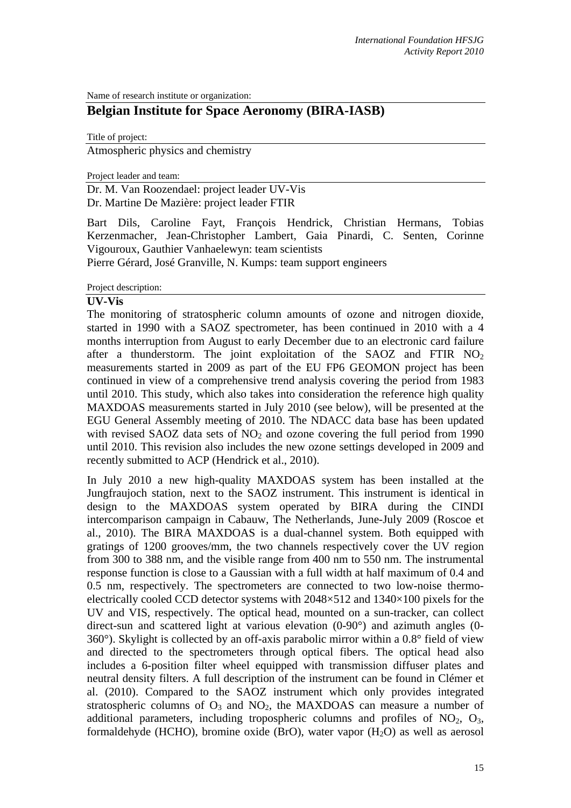Name of research institute or organization:

# **Belgian Institute for Space Aeronomy (BIRA-IASB)**

Title of project:

Atmospheric physics and chemistry

Project leader and team:

Dr. M. Van Roozendael: project leader UV-Vis Dr. Martine De Mazière: project leader FTIR

Bart Dils, Caroline Fayt, François Hendrick, Christian Hermans, Tobias Kerzenmacher, Jean-Christopher Lambert, Gaia Pinardi, C. Senten, Corinne Vigouroux, Gauthier Vanhaelewyn: team scientists

Pierre Gérard, José Granville, N. Kumps: team support engineers

Project description:

#### **UV-Vis**

The monitoring of stratospheric column amounts of ozone and nitrogen dioxide, started in 1990 with a SAOZ spectrometer, has been continued in 2010 with a 4 months interruption from August to early December due to an electronic card failure after a thunderstorm. The joint exploitation of the SAOZ and FTIR  $NO<sub>2</sub>$ measurements started in 2009 as part of the EU FP6 GEOMON project has been continued in view of a comprehensive trend analysis covering the period from 1983 until 2010. This study, which also takes into consideration the reference high quality MAXDOAS measurements started in July 2010 (see below), will be presented at the EGU General Assembly meeting of 2010. The NDACC data base has been updated with revised SAOZ data sets of  $NO<sub>2</sub>$  and ozone covering the full period from 1990 until 2010. This revision also includes the new ozone settings developed in 2009 and recently submitted to ACP (Hendrick et al., 2010).

In July 2010 a new high-quality MAXDOAS system has been installed at the Jungfraujoch station, next to the SAOZ instrument. This instrument is identical in design to the MAXDOAS system operated by BIRA during the CINDI intercomparison campaign in Cabauw, The Netherlands, June-July 2009 (Roscoe et al., 2010). The BIRA MAXDOAS is a dual-channel system. Both equipped with gratings of 1200 grooves/mm, the two channels respectively cover the UV region from 300 to 388 nm, and the visible range from 400 nm to 550 nm. The instrumental response function is close to a Gaussian with a full width at half maximum of 0.4 and 0.5 nm, respectively. The spectrometers are connected to two low-noise thermoelectrically cooled CCD detector systems with 2048×512 and 1340×100 pixels for the UV and VIS, respectively. The optical head, mounted on a sun-tracker, can collect direct-sun and scattered light at various elevation (0-90°) and azimuth angles (0- 360°). Skylight is collected by an off-axis parabolic mirror within a 0.8° field of view and directed to the spectrometers through optical fibers. The optical head also includes a 6-position filter wheel equipped with transmission diffuser plates and neutral density filters. A full description of the instrument can be found in Clémer et al. (2010). Compared to the SAOZ instrument which only provides integrated stratospheric columns of  $O_3$  and  $NO_2$ , the MAXDOAS can measure a number of additional parameters, including tropospheric columns and profiles of  $NO<sub>2</sub>$ ,  $O<sub>3</sub>$ , formaldehyde (HCHO), bromine oxide (BrO), water vapor  $(H_2O)$  as well as aerosol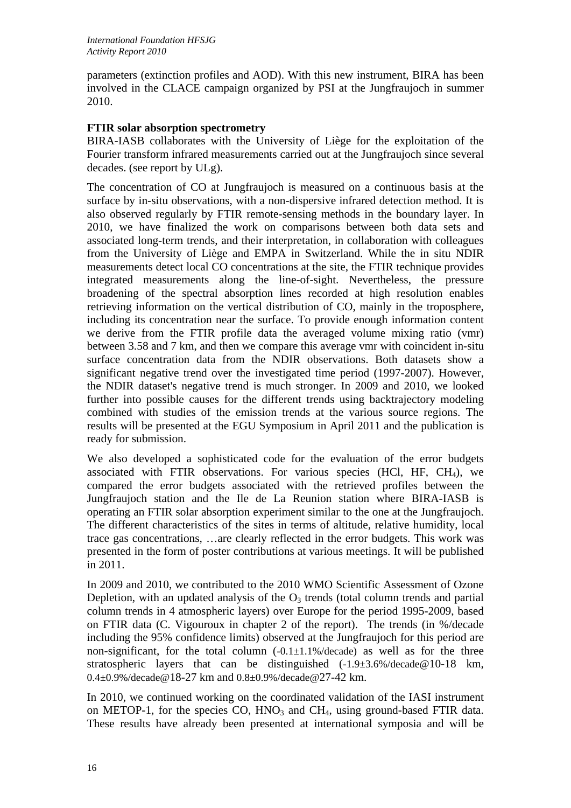parameters (extinction profiles and AOD). With this new instrument, BIRA has been involved in the CLACE campaign organized by PSI at the Jungfraujoch in summer 2010.

# **FTIR solar absorption spectrometry**

BIRA-IASB collaborates with the University of Liège for the exploitation of the Fourier transform infrared measurements carried out at the Jungfraujoch since several decades. (see report by ULg).

The concentration of CO at Jungfraujoch is measured on a continuous basis at the surface by in-situ observations, with a non-dispersive infrared detection method. It is also observed regularly by FTIR remote-sensing methods in the boundary layer. In 2010, we have finalized the work on comparisons between both data sets and associated long-term trends, and their interpretation, in collaboration with colleagues from the University of Liège and EMPA in Switzerland. While the in situ NDIR measurements detect local CO concentrations at the site, the FTIR technique provides integrated measurements along the line-of-sight. Nevertheless, the pressure broadening of the spectral absorption lines recorded at high resolution enables retrieving information on the vertical distribution of CO, mainly in the troposphere, including its concentration near the surface. To provide enough information content we derive from the FTIR profile data the averaged volume mixing ratio (vmr) between 3.58 and 7 km, and then we compare this average vmr with coincident in-situ surface concentration data from the NDIR observations. Both datasets show a significant negative trend over the investigated time period (1997-2007). However, the NDIR dataset's negative trend is much stronger. In 2009 and 2010, we looked further into possible causes for the different trends using backtrajectory modeling combined with studies of the emission trends at the various source regions. The results will be presented at the EGU Symposium in April 2011 and the publication is ready for submission.

We also developed a sophisticated code for the evaluation of the error budgets associated with FTIR observations. For various species (HCl, HF, CH4), we compared the error budgets associated with the retrieved profiles between the Jungfraujoch station and the Ile de La Reunion station where BIRA-IASB is operating an FTIR solar absorption experiment similar to the one at the Jungfraujoch. The different characteristics of the sites in terms of altitude, relative humidity, local trace gas concentrations, …are clearly reflected in the error budgets. This work was presented in the form of poster contributions at various meetings. It will be published in 2011.

In 2009 and 2010, we contributed to the 2010 WMO Scientific Assessment of Ozone Depletion, with an updated analysis of the  $O_3$  trends (total column trends and partial column trends in 4 atmospheric layers) over Europe for the period 1995-2009, based on FTIR data (C. Vigouroux in chapter 2 of the report). The trends (in %/decade including the 95% confidence limits) observed at the Jungfraujoch for this period are non-significant, for the total column  $(-0.1\pm1.1\%/$ decade) as well as for the three stratospheric layers that can be distinguished  $(-1.9 \pm 3.6\% / 4 \cdot 10^{-18} \text{ km})$ 0.4±0.9%/decade@18-27 km and 0.8±0.9%/decade@27-42 km.

In 2010, we continued working on the coordinated validation of the IASI instrument on METOP-1, for the species  $CO$ ,  $HNO<sub>3</sub>$  and  $CH<sub>4</sub>$ , using ground-based FTIR data. These results have already been presented at international symposia and will be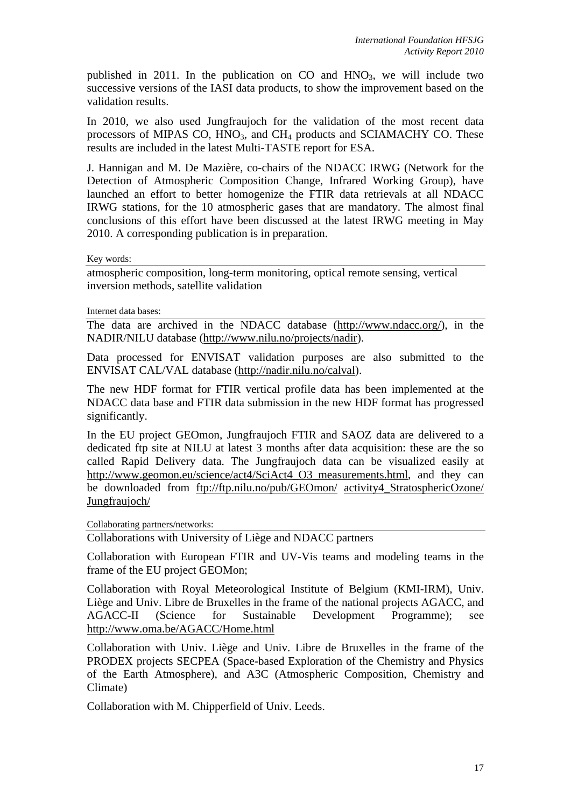published in 2011. In the publication on  $CO$  and  $HNO<sub>3</sub>$ , we will include two successive versions of the IASI data products, to show the improvement based on the validation results.

In 2010, we also used Jungfraujoch for the validation of the most recent data processors of MIPAS CO,  $HNO<sub>3</sub>$ , and  $CH<sub>4</sub>$  products and SCIAMACHY CO. These results are included in the latest Multi-TASTE report for ESA.

J. Hannigan and M. De Mazière, co-chairs of the NDACC IRWG (Network for the Detection of Atmospheric Composition Change, Infrared Working Group), have launched an effort to better homogenize the FTIR data retrievals at all NDACC IRWG stations, for the 10 atmospheric gases that are mandatory. The almost final conclusions of this effort have been discussed at the latest IRWG meeting in May 2010. A corresponding publication is in preparation.

Key words:

atmospheric composition, long-term monitoring, optical remote sensing, vertical inversion methods, satellite validation

Internet data bases:

The data are archived in the NDACC database (http://www.ndacc.org/), in the NADIR/NILU database (http://www.nilu.no/projects/nadir).

Data processed for ENVISAT validation purposes are also submitted to the ENVISAT CAL/VAL database (http://nadir.nilu.no/calval).

The new HDF format for FTIR vertical profile data has been implemented at the NDACC data base and FTIR data submission in the new HDF format has progressed significantly.

In the EU project GEOmon, Jungfraujoch FTIR and SAOZ data are delivered to a dedicated ftp site at NILU at latest 3 months after data acquisition: these are the so called Rapid Delivery data. The Jungfraujoch data can be visualized easily at http://www.geomon.eu/science/act4/SciAct4\_O3\_measurements.html, and they can be downloaded from ftp://ftp.nilu.no/pub/GEOmon/ activity4\_StratosphericOzone/ Jungfraujoch/

Collaborating partners/networks:

Collaborations with University of Liège and NDACC partners

Collaboration with European FTIR and UV-Vis teams and modeling teams in the frame of the EU project GEOMon;

Collaboration with Royal Meteorological Institute of Belgium (KMI-IRM), Univ. Liège and Univ. Libre de Bruxelles in the frame of the national projects AGACC, and AGACC-II (Science for Sustainable Development Programme); see http://www.oma.be/AGACC/Home.html

Collaboration with Univ. Liège and Univ. Libre de Bruxelles in the frame of the PRODEX projects SECPEA (Space-based Exploration of the Chemistry and Physics of the Earth Atmosphere), and A3C (Atmospheric Composition, Chemistry and Climate)

Collaboration with M. Chipperfield of Univ. Leeds.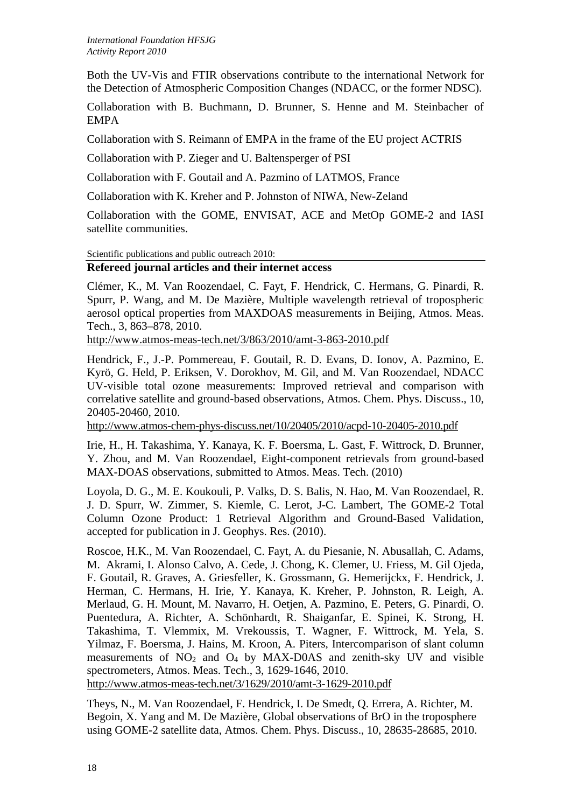Both the UV-Vis and FTIR observations contribute to the international Network for the Detection of Atmospheric Composition Changes (NDACC, or the former NDSC).

Collaboration with B. Buchmann, D. Brunner, S. Henne and M. Steinbacher of EMPA

Collaboration with S. Reimann of EMPA in the frame of the EU project ACTRIS

Collaboration with P. Zieger and U. Baltensperger of PSI

Collaboration with F. Goutail and A. Pazmino of LATMOS, France

Collaboration with K. Kreher and P. Johnston of NIWA, New-Zeland

Collaboration with the GOME, ENVISAT, ACE and MetOp GOME-2 and IASI satellite communities.

Scientific publications and public outreach 2010:

## **Refereed journal articles and their internet access**

Clémer, K., M. Van Roozendael, C. Fayt, F. Hendrick, C. Hermans, G. Pinardi, R. Spurr, P. Wang, and M. De Mazière, Multiple wavelength retrieval of tropospheric aerosol optical properties from MAXDOAS measurements in Beijing, Atmos. Meas. Tech., 3, 863–878, 2010.

http://www.atmos-meas-tech.net/3/863/2010/amt-3-863-2010.pdf

Hendrick, F., J.-P. Pommereau, F. Goutail, R. D. Evans, D. Ionov, A. Pazmino, E. Kyrö, G. Held, P. Eriksen, V. Dorokhov, M. Gil, and M. Van Roozendael, NDACC UV-visible total ozone measurements: Improved retrieval and comparison with correlative satellite and ground-based observations, Atmos. Chem. Phys. Discuss., 10, 20405-20460, 2010.

http://www.atmos-chem-phys-discuss.net/10/20405/2010/acpd-10-20405-2010.pdf

Irie, H., H. Takashima, Y. Kanaya, K. F. Boersma, L. Gast, F. Wittrock, D. Brunner, Y. Zhou, and M. Van Roozendael, Eight-component retrievals from ground-based MAX-DOAS observations, submitted to Atmos. Meas. Tech. (2010)

Loyola, D. G., M. E. Koukouli, P. Valks, D. S. Balis, N. Hao, M. Van Roozendael, R. J. D. Spurr, W. Zimmer, S. Kiemle, C. Lerot, J-C. Lambert, The GOME-2 Total Column Ozone Product: 1 Retrieval Algorithm and Ground-Based Validation, accepted for publication in J. Geophys. Res. (2010).

Roscoe, H.K., M. Van Roozendael, C. Fayt, A. du Piesanie, N. Abusallah, C. Adams, M. Akrami, I. Alonso Calvo, A. Cede, J. Chong, K. Clemer, U. Friess, M. Gil Ojeda, F. Goutail, R. Graves, A. Griesfeller, K. Grossmann, G. Hemerijckx, F. Hendrick, J. Herman, C. Hermans, H. Irie, Y. Kanaya, K. Kreher, P. Johnston, R. Leigh, A. Merlaud, G. H. Mount, M. Navarro, H. Oetjen, A. Pazmino, E. Peters, G. Pinardi, O. Puentedura, A. Richter, A. Schönhardt, R. Shaiganfar, E. Spinei, K. Strong, H. Takashima, T. Vlemmix, M. Vrekoussis, T. Wagner, F. Wittrock, M. Yela, S. Yilmaz, F. Boersma, J. Hains, M. Kroon, A. Piters, Intercomparison of slant column measurements of  $NO_2$  and  $O_4$  by MAX-D0AS and zenith-sky UV and visible spectrometers, Atmos. Meas. Tech., 3, 1629-1646, 2010.

http://www.atmos-meas-tech.net/3/1629/2010/amt-3-1629-2010.pdf

Theys, N., M. Van Roozendael, F. Hendrick, I. De Smedt, Q. Errera, A. Richter, M. Begoin, X. Yang and M. De Mazière, Global observations of BrO in the troposphere using GOME-2 satellite data, Atmos. Chem. Phys. Discuss., 10, 28635-28685, 2010.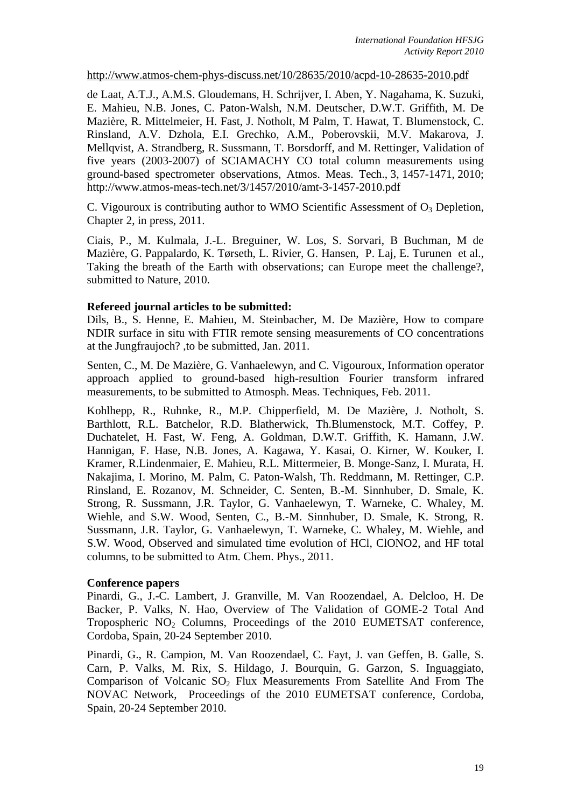http://www.atmos-chem-phys-discuss.net/10/28635/2010/acpd-10-28635-2010.pdf

de Laat, A.T.J., A.M.S. Gloudemans, H. Schrijver, I. Aben, Y. Nagahama, K. Suzuki, E. Mahieu, N.B. Jones, C. Paton-Walsh, N.M. Deutscher, D.W.T. Griffith, M. De Mazière, R. Mittelmeier, H. Fast, J. Notholt, M Palm, T. Hawat, T. Blumenstock, C. Rinsland, A.V. Dzhola, E.I. Grechko, A.M., Poberovskii, M.V. Makarova, J. Mellqvist, A. Strandberg, R. Sussmann, T. Borsdorff, and M. Rettinger, Validation of five years (2003-2007) of SCIAMACHY CO total column measurements using ground-based spectrometer observations, Atmos. Meas. Tech., 3, 1457-1471, 2010; http://www.atmos-meas-tech.net/3/1457/2010/amt-3-1457-2010.pdf

C. Vigouroux is contributing author to WMO Scientific Assessment of  $O_3$  Depletion, Chapter 2, in press, 2011.

Ciais, P., M. Kulmala, J.-L. Breguiner, W. Los, S. Sorvari, B Buchman, M de Mazière, G. Pappalardo, K. Tørseth, L. Rivier, G. Hansen, P. Laj, E. Turunen et al., Taking the breath of the Earth with observations; can Europe meet the challenge?, submitted to Nature, 2010.

### **Refereed journal articles to be submitted:**

Dils, B., S. Henne, E. Mahieu, M. Steinbacher, M. De Mazière, How to compare NDIR surface in situ with FTIR remote sensing measurements of CO concentrations at the Jungfraujoch? ,to be submitted, Jan. 2011.

Senten, C., M. De Mazière, G. Vanhaelewyn, and C. Vigouroux, Information operator approach applied to ground-based high-resultion Fourier transform infrared measurements, to be submitted to Atmosph. Meas. Techniques, Feb. 2011.

Kohlhepp, R., Ruhnke, R., M.P. Chipperfield, M. De Mazière, J. Notholt, S. Barthlott, R.L. Batchelor, R.D. Blatherwick, Th.Blumenstock, M.T. Coffey, P. Duchatelet, H. Fast, W. Feng, A. Goldman, D.W.T. Griffith, K. Hamann, J.W. Hannigan, F. Hase, N.B. Jones, A. Kagawa, Y. Kasai, O. Kirner, W. Kouker, I. Kramer, R.Lindenmaier, E. Mahieu, R.L. Mittermeier, B. Monge-Sanz, I. Murata, H. Nakajima, I. Morino, M. Palm, C. Paton-Walsh, Th. Reddmann, M. Rettinger, C.P. Rinsland, E. Rozanov, M. Schneider, C. Senten, B.-M. Sinnhuber, D. Smale, K. Strong, R. Sussmann, J.R. Taylor, G. Vanhaelewyn, T. Warneke, C. Whaley, M. Wiehle, and S.W. Wood, Senten, C., B.-M. Sinnhuber, D. Smale, K. Strong, R. Sussmann, J.R. Taylor, G. Vanhaelewyn, T. Warneke, C. Whaley, M. Wiehle, and S.W. Wood, Observed and simulated time evolution of HCl, ClONO2, and HF total columns, to be submitted to Atm. Chem. Phys., 2011.

#### **Conference papers**

Pinardi, G., J.-C. Lambert, J. Granville, M. Van Roozendael, A. Delcloo, H. De Backer, P. Valks, N. Hao, Overview of The Validation of GOME-2 Total And Tropospheric  $NO<sub>2</sub>$  Columns, Proceedings of the 2010 EUMETSAT conference, Cordoba, Spain, 20-24 September 2010.

Pinardi, G., R. Campion, M. Van Roozendael, C. Fayt, J. van Geffen, B. Galle, S. Carn, P. Valks, M. Rix, S. Hildago, J. Bourquin, G. Garzon, S. Inguaggiato, Comparison of Volcanic  $SO<sub>2</sub>$  Flux Measurements From Satellite And From The NOVAC Network, Proceedings of the 2010 EUMETSAT conference, Cordoba, Spain, 20-24 September 2010.